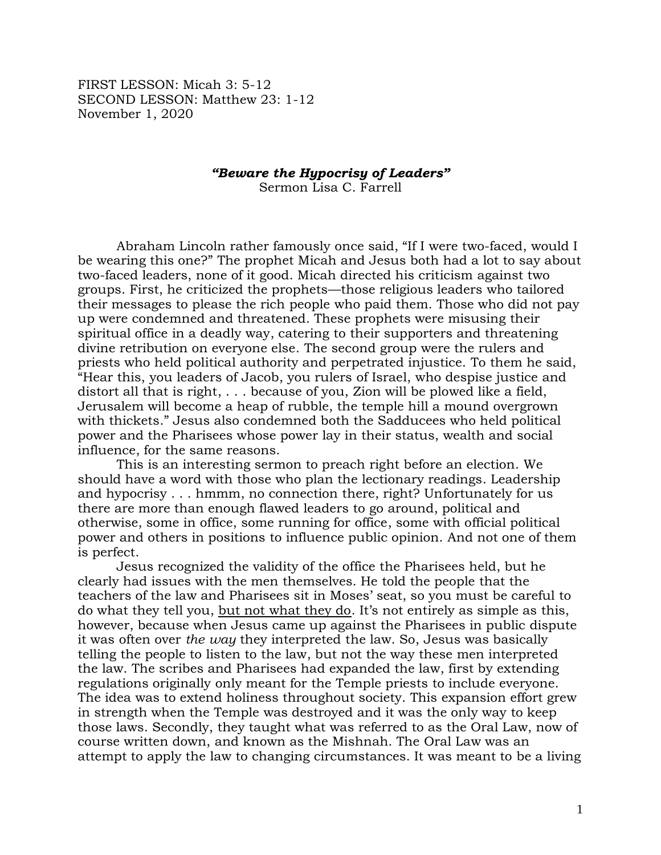FIRST LESSON: Micah 3: 5-12 SECOND LESSON: Matthew 23: 1-12 November 1, 2020

## *"Beware the Hypocrisy of Leaders"*

Sermon Lisa C. Farrell

Abraham Lincoln rather famously once said, "If I were two-faced, would I be wearing this one?" The prophet Micah and Jesus both had a lot to say about two-faced leaders, none of it good. Micah directed his criticism against two groups. First, he criticized the prophets—those religious leaders who tailored their messages to please the rich people who paid them. Those who did not pay up were condemned and threatened. These prophets were misusing their spiritual office in a deadly way, catering to their supporters and threatening divine retribution on everyone else. The second group were the rulers and priests who held political authority and perpetrated injustice. To them he said, "Hear this, you leaders of Jacob, you rulers of Israel, who despise justice and distort all that is right, . . . because of you, Zion will be plowed like a field, Jerusalem will become a heap of rubble, the temple hill a mound overgrown with thickets." Jesus also condemned both the Sadducees who held political power and the Pharisees whose power lay in their status, wealth and social influence, for the same reasons.

This is an interesting sermon to preach right before an election. We should have a word with those who plan the lectionary readings. Leadership and hypocrisy . . . hmmm, no connection there, right? Unfortunately for us there are more than enough flawed leaders to go around, political and otherwise, some in office, some running for office, some with official political power and others in positions to influence public opinion. And not one of them is perfect.

Jesus recognized the validity of the office the Pharisees held, but he clearly had issues with the men themselves. He told the people that the teachers of the law and Pharisees sit in Moses' seat, so you must be careful to do what they tell you, but not what they do. It's not entirely as simple as this, however, because when Jesus came up against the Pharisees in public dispute it was often over *the way* they interpreted the law. So, Jesus was basically telling the people to listen to the law, but not the way these men interpreted the law. The scribes and Pharisees had expanded the law, first by extending regulations originally only meant for the Temple priests to include everyone. The idea was to extend holiness throughout society. This expansion effort grew in strength when the Temple was destroyed and it was the only way to keep those laws. Secondly, they taught what was referred to as the Oral Law, now of course written down, and known as the Mishnah. The Oral Law was an attempt to apply the law to changing circumstances. It was meant to be a living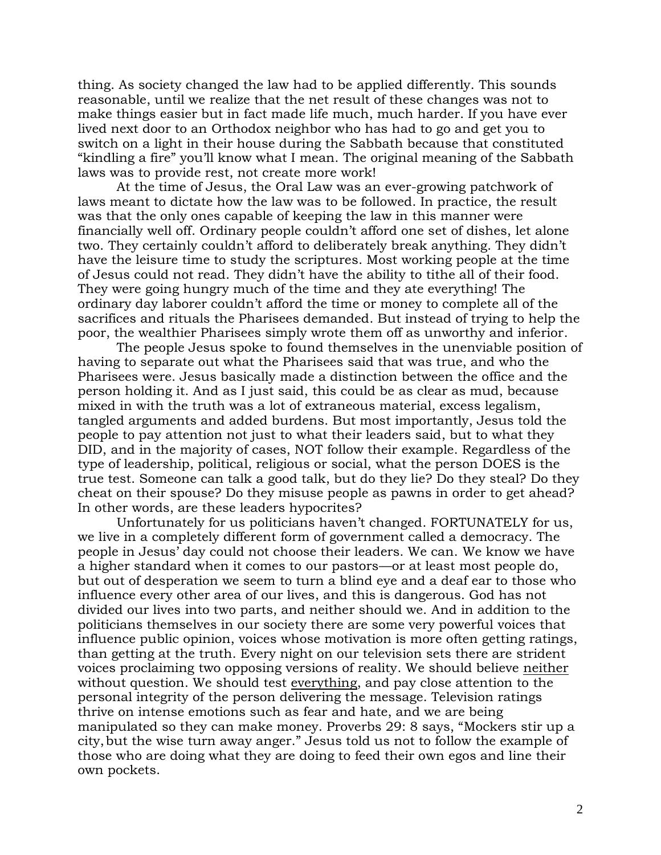thing. As society changed the law had to be applied differently. This sounds reasonable, until we realize that the net result of these changes was not to make things easier but in fact made life much, much harder. If you have ever lived next door to an Orthodox neighbor who has had to go and get you to switch on a light in their house during the Sabbath because that constituted "kindling a fire" you'll know what I mean. The original meaning of the Sabbath laws was to provide rest, not create more work!

At the time of Jesus, the Oral Law was an ever-growing patchwork of laws meant to dictate how the law was to be followed. In practice, the result was that the only ones capable of keeping the law in this manner were financially well off. Ordinary people couldn't afford one set of dishes, let alone two. They certainly couldn't afford to deliberately break anything. They didn't have the leisure time to study the scriptures. Most working people at the time of Jesus could not read. They didn't have the ability to tithe all of their food. They were going hungry much of the time and they ate everything! The ordinary day laborer couldn't afford the time or money to complete all of the sacrifices and rituals the Pharisees demanded. But instead of trying to help the poor, the wealthier Pharisees simply wrote them off as unworthy and inferior.

The people Jesus spoke to found themselves in the unenviable position of having to separate out what the Pharisees said that was true, and who the Pharisees were. Jesus basically made a distinction between the office and the person holding it. And as I just said, this could be as clear as mud, because mixed in with the truth was a lot of extraneous material, excess legalism, tangled arguments and added burdens. But most importantly, Jesus told the people to pay attention not just to what their leaders said, but to what they DID, and in the majority of cases, NOT follow their example. Regardless of the type of leadership, political, religious or social, what the person DOES is the true test. Someone can talk a good talk, but do they lie? Do they steal? Do they cheat on their spouse? Do they misuse people as pawns in order to get ahead? In other words, are these leaders hypocrites?

Unfortunately for us politicians haven't changed. FORTUNATELY for us, we live in a completely different form of government called a democracy. The people in Jesus' day could not choose their leaders. We can. We know we have a higher standard when it comes to our pastors—or at least most people do, but out of desperation we seem to turn a blind eye and a deaf ear to those who influence every other area of our lives, and this is dangerous. God has not divided our lives into two parts, and neither should we. And in addition to the politicians themselves in our society there are some very powerful voices that influence public opinion, voices whose motivation is more often getting ratings, than getting at the truth. Every night on our television sets there are strident voices proclaiming two opposing versions of reality. We should believe neither without question. We should test everything, and pay close attention to the personal integrity of the person delivering the message. Television ratings thrive on intense emotions such as fear and hate, and we are being manipulated so they can make money. Proverbs 29: 8 says, "Mockers stir up a city,but the wise turn away anger." Jesus told us not to follow the example of those who are doing what they are doing to feed their own egos and line their own pockets.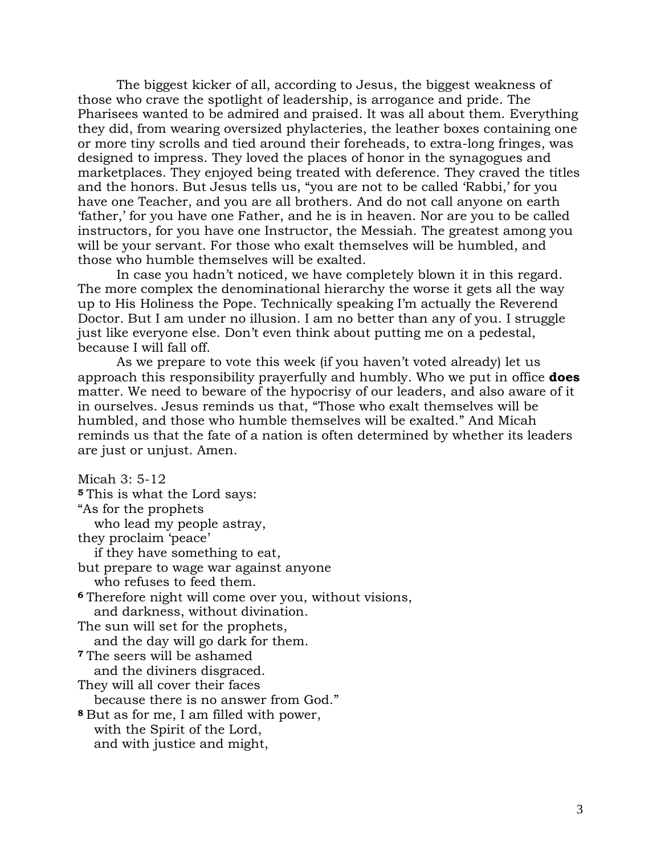The biggest kicker of all, according to Jesus, the biggest weakness of those who crave the spotlight of leadership, is arrogance and pride. The Pharisees wanted to be admired and praised. It was all about them. Everything they did, from wearing oversized phylacteries, the leather boxes containing one or more tiny scrolls and tied around their foreheads, to extra-long fringes, was designed to impress. They loved the places of honor in the synagogues and marketplaces. They enjoyed being treated with deference. They craved the titles and the honors. But Jesus tells us, "you are not to be called 'Rabbi,' for you have one Teacher, and you are all brothers. And do not call anyone on earth 'father,' for you have one Father, and he is in heaven. Nor are you to be called instructors, for you have one Instructor, the Messiah. The greatest among you will be your servant. For those who exalt themselves will be humbled, and those who humble themselves will be exalted.

In case you hadn't noticed, we have completely blown it in this regard. The more complex the denominational hierarchy the worse it gets all the way up to His Holiness the Pope. Technically speaking I'm actually the Reverend Doctor. But I am under no illusion. I am no better than any of you. I struggle just like everyone else. Don't even think about putting me on a pedestal, because I will fall off.

As we prepare to vote this week (if you haven't voted already) let us approach this responsibility prayerfully and humbly. Who we put in office **does** matter. We need to beware of the hypocrisy of our leaders, and also aware of it in ourselves. Jesus reminds us that, "Those who exalt themselves will be humbled, and those who humble themselves will be exalted." And Micah reminds us that the fate of a nation is often determined by whether its leaders are just or unjust. Amen.

Micah 3: 5-12 **<sup>5</sup>** This is what the Lord says: "As for the prophets who lead my people astray, they proclaim 'peace' if they have something to eat, but prepare to wage war against anyone who refuses to feed them. **<sup>6</sup>** Therefore night will come over you, without visions, and darkness, without divination. The sun will set for the prophets, and the day will go dark for them. **<sup>7</sup>** The seers will be ashamed and the diviners disgraced. They will all cover their faces because there is no answer from God." **<sup>8</sup>** But as for me, I am filled with power, with the Spirit of the Lord, and with justice and might,